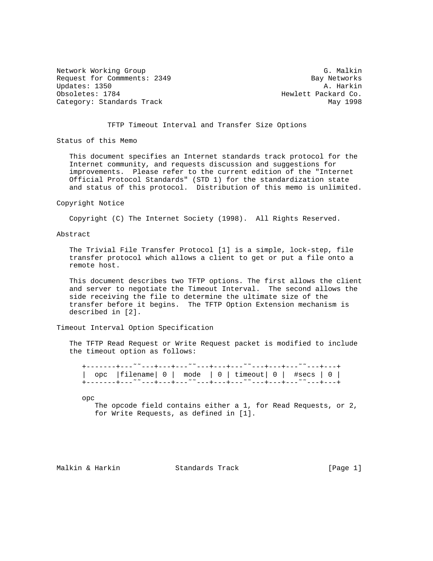Network Working Group G. Malkin G. Malkin Request for Commments: 2349 Bay Networks<br>Updates: 1350 Bay Networks Updates: 1350 Obsoletes: 1784 **Hewlett Packard Co.** Category: Standards Track May 1998

## TFTP Timeout Interval and Transfer Size Options

Status of this Memo

 This document specifies an Internet standards track protocol for the Internet community, and requests discussion and suggestions for improvements. Please refer to the current edition of the "Internet Official Protocol Standards" (STD 1) for the standardization state and status of this protocol. Distribution of this memo is unlimited.

#### Copyright Notice

Copyright (C) The Internet Society (1998). All Rights Reserved.

#### Abstract

 The Trivial File Transfer Protocol [1] is a simple, lock-step, file transfer protocol which allows a client to get or put a file onto a remote host.

 This document describes two TFTP options. The first allows the client and server to negotiate the Timeout Interval. The second allows the side receiving the file to determine the ultimate size of the transfer before it begins. The TFTP Option Extension mechanism is described in [2].

#### Timeout Interval Option Specification

 The TFTP Read Request or Write Request packet is modified to include the timeout option as follows:

|  |  | +-------+--- <sup>~~</sup> ---+---+--- <sup>~~</sup> ---+---+---- <sup>~~</sup> ---+---+--- <sup>~</sup> ~---+---+ |
|--|--|--------------------------------------------------------------------------------------------------------------------|
|  |  |                                                                                                                    |
|  |  | opc   filename   $0$   mode   $0$   timeout   $0$   #secs   $0$                                                    |
|  |  |                                                                                                                    |
|  |  |                                                                                                                    |
|  |  |                                                                                                                    |

opc

 The opcode field contains either a 1, for Read Requests, or 2, for Write Requests, as defined in [1].

Malkin & Harkin Standards Track [Page 1]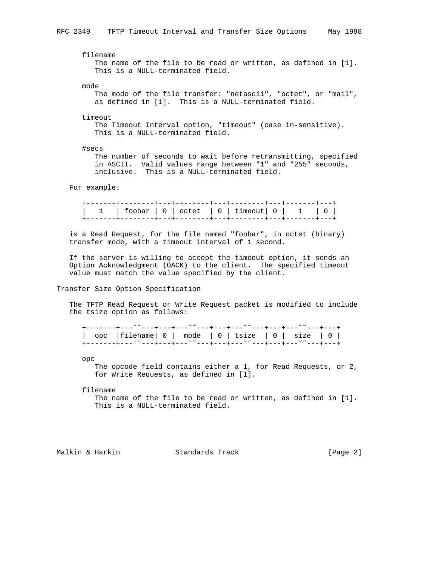filename The name of the file to be read or written, as defined in [1]. This is a NULL-terminated field.

mode

 The mode of the file transfer: "netascii", "octet", or "mail", as defined in [1]. This is a NULL-terminated field.

timeout

 The Timeout Interval option, "timeout" (case in-sensitive). This is a NULL-terminated field.

#secs

 The number of seconds to wait before retransmitting, specified in ASCII. Valid values range between "1" and "255" seconds, inclusive. This is a NULL-terminated field.

For example:

 is a Read Request, for the file named "foobar", in octet (binary) transfer mode, with a timeout interval of 1 second.

 If the server is willing to accept the timeout option, it sends an Option Acknowledgment (OACK) to the client. The specified timeout value must match the value specified by the client.

# Transfer Size Option Specification

 The TFTP Read Request or Write Request packet is modified to include the tsize option as follows:

 +-------+---˜˜---+---+---˜˜---+---+---˜˜---+---+---˜˜---+---+ | opc |filename| 0 | mode | 0 | tsize | 0 | size | 0 | +-------+---˜˜---+---+---˜˜---+---+---˜˜---+---+---˜˜---+---+

opc

 The opcode field contains either a 1, for Read Requests, or 2, for Write Requests, as defined in [1].

filename

 The name of the file to be read or written, as defined in [1]. This is a NULL-terminated field.

Malkin & Harkin Standards Track [Page 2]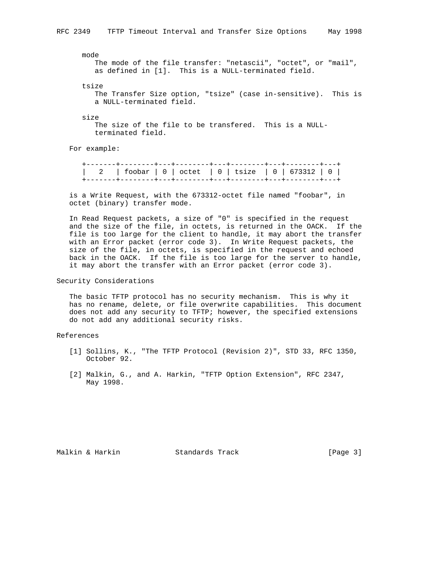mode

 The mode of the file transfer: "netascii", "octet", or "mail", as defined in [1]. This is a NULL-terminated field.

tsize

 The Transfer Size option, "tsize" (case in-sensitive). This is a NULL-terminated field.

size

 The size of the file to be transfered. This is a NULL terminated field.

For example:

 +-------+--------+---+--------+---+--------+---+--------+---+ | 2 | foobar | 0 | octet | 0 | tsize | 0 | 673312 | 0 | +-------+--------+---+--------+---+--------+---+--------+---+

 is a Write Request, with the 673312-octet file named "foobar", in octet (binary) transfer mode.

 In Read Request packets, a size of "0" is specified in the request and the size of the file, in octets, is returned in the OACK. If the file is too large for the client to handle, it may abort the transfer with an Error packet (error code 3). In Write Request packets, the size of the file, in octets, is specified in the request and echoed back in the OACK. If the file is too large for the server to handle, it may abort the transfer with an Error packet (error code 3).

## Security Considerations

 The basic TFTP protocol has no security mechanism. This is why it has no rename, delete, or file overwrite capabilities. This document does not add any security to TFTP; however, the specified extensions do not add any additional security risks.

References

- [1] Sollins, K., "The TFTP Protocol (Revision 2)", STD 33, RFC 1350, October 92.
- [2] Malkin, G., and A. Harkin, "TFTP Option Extension", RFC 2347, May 1998.

Malkin & Harkin Standards Track [Page 3]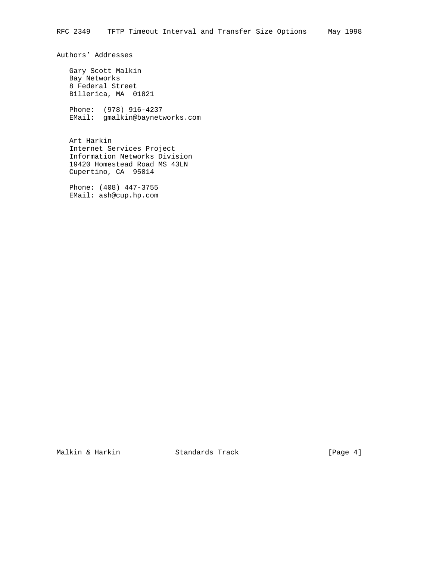Authors' Addresses

 Gary Scott Malkin Bay Networks 8 Federal Street Billerica, MA 01821

 Phone: (978) 916-4237 EMail: gmalkin@baynetworks.com

 Art Harkin Internet Services Project Information Networks Division 19420 Homestead Road MS 43LN Cupertino, CA 95014

 Phone: (408) 447-3755 EMail: ash@cup.hp.com